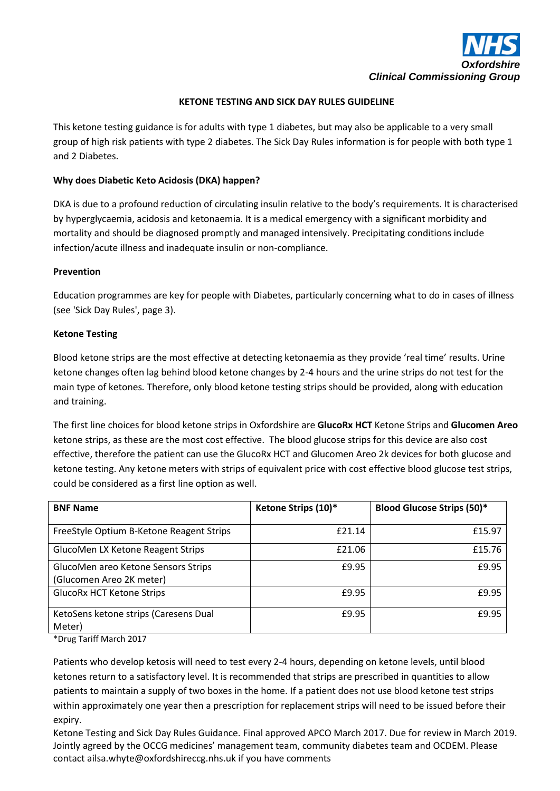

## **KETONE TESTING AND SICK DAY RULES GUIDELINE**

This ketone testing guidance is for adults with type 1 diabetes, but may also be applicable to a very small group of high risk patients with type 2 diabetes. The Sick Day Rules information is for people with both type 1 and 2 Diabetes.

### **Why does Diabetic Keto Acidosis (DKA) happen?**

DKA is due to a profound reduction of circulating insulin relative to the body's requirements. It is characterised by hyperglycaemia, acidosis and ketonaemia. It is a medical emergency with a significant morbidity and mortality and should be diagnosed promptly and managed intensively. Precipitating conditions include infection/acute illness and inadequate insulin or non-compliance.

### **Prevention**

Education programmes are key for people with Diabetes, particularly concerning what to do in cases of illness (see 'Sick Day Rules', page 3).

### **Ketone Testing**

Blood ketone strips are the most effective at detecting ketonaemia as they provide 'real time' results. Urine ketone changes often lag behind blood ketone changes by 2-4 hours and the urine strips do not test for the main type of ketones*.* Therefore, only blood ketone testing strips should be provided, along with education and training.

The first line choices for blood ketone strips in Oxfordshire are **GlucoRx HCT** Ketone Strips and **Glucomen Areo** ketone strips, as these are the most cost effective. The blood glucose strips for this device are also cost effective, therefore the patient can use the GlucoRx HCT and Glucomen Areo 2k devices for both glucose and ketone testing. Any ketone meters with strips of equivalent price with cost effective blood glucose test strips, could be considered as a first line option as well.

| <b>BNF Name</b>                          | Ketone Strips (10)* | <b>Blood Glucose Strips (50)*</b> |
|------------------------------------------|---------------------|-----------------------------------|
| FreeStyle Optium B-Ketone Reagent Strips | £21.14              | £15.97                            |
| GlucoMen LX Ketone Reagent Strips        | £21.06              | £15.76                            |
| GlucoMen areo Ketone Sensors Strips      | £9.95               | £9.95                             |
| (Glucomen Areo 2K meter)                 |                     |                                   |
| <b>GlucoRx HCT Ketone Strips</b>         | £9.95               | £9.95                             |
| KetoSens ketone strips (Caresens Dual    | £9.95               | £9.95                             |
| Meter)                                   |                     |                                   |
|                                          |                     |                                   |

\*Drug Tariff March 2017

Patients who develop ketosis will need to test every 2-4 hours, depending on ketone levels, until blood ketones return to a satisfactory level. It is recommended that strips are prescribed in quantities to allow patients to maintain a supply of two boxes in the home. If a patient does not use blood ketone test strips within approximately one year then a prescription for replacement strips will need to be issued before their expiry.

Ketone Testing and Sick Day Rules Guidance. Final approved APCO March 2017. Due for review in March 2019. Jointly agreed by the OCCG medicines' management team, community diabetes team and OCDEM. Please contact ailsa.whyte@oxfordshireccg.nhs.uk if you have comments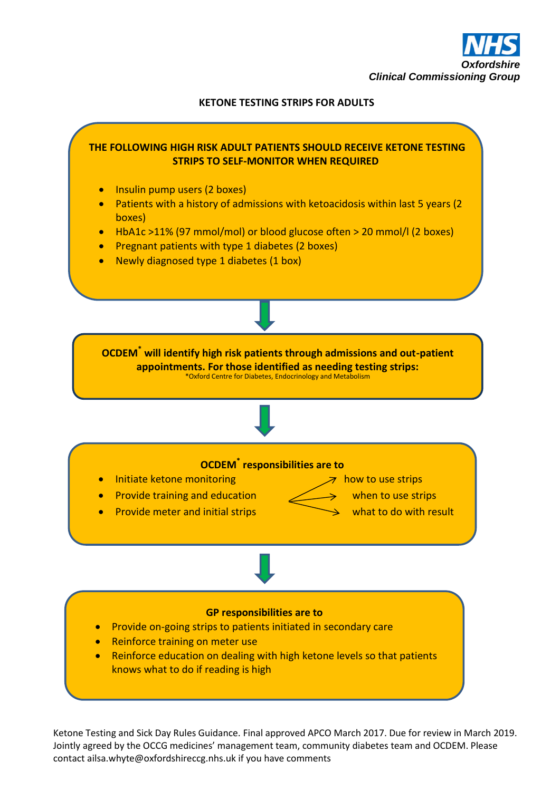

# **KETONE TESTING STRIPS FOR ADULTS**



Ketone Testing and Sick Day Rules Guidance. Final approved APCO March 2017. Due for review in March 2019. Jointly agreed by the OCCG medicines' management team, community diabetes team and OCDEM. Please contact ailsa.whyte@oxfordshireccg.nhs.uk if you have comments